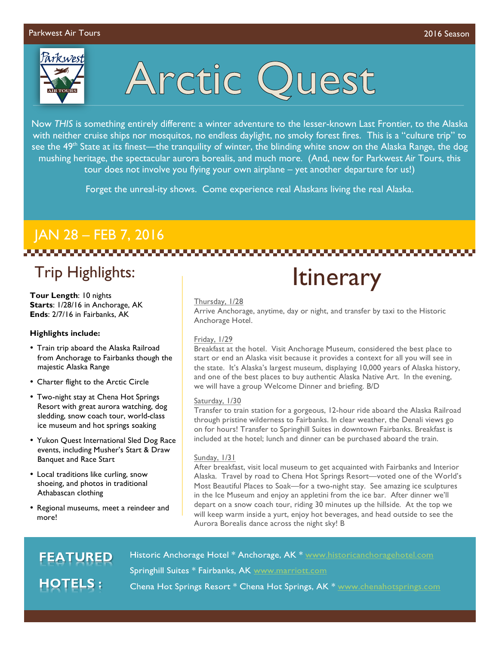

# Arctic Quest

Now *THIS* is something entirely different: a winter adventure to the lesser-known Last Frontier, to the Alaska with neither cruise ships nor mosquitos, no endless daylight, no smoky forest fires. This is a "culture trip" to see the 49<sup>th</sup> State at its finest—the tranquility of winter, the blinding white snow on the Alaska Range, the dog mushing heritage, the spectacular aurora borealis, and much more. (And, new for Parkwest *Air* Tours, this tour does not involve you flying your own airplane – yet another departure for us!)

Forget the unreal-ity shows. Come experience real Alaskans living the real Alaska.

### JAN 28 – FEB 7, 2016

### Trip Highlights:

**Tour Length**: 10 nights **Starts**: 1/28/16 in Anchorage, AK **Ends**: 2/7/16 in Fairbanks, AK

### **Highlights include:**

- Train trip aboard the Alaska Railroad from Anchorage to Fairbanks though the majestic Alaska Range
- Charter flight to the Arctic Circle
- Two-night stay at Chena Hot Springs Resort with great aurora watching, dog sledding, snow coach tour, world-class ice museum and hot springs soaking
- Yukon Quest International Sled Dog Race events, including Musher's Start & Draw Banquet and Race Start
- Local traditions like curling, snow shoeing, and photos in traditional Athabascan clothing
- Regional museums, meet a reindeer and more!

## **Itinerary**

### Thursday, 1/28

Arrive Anchorage, anytime, day or night, and transfer by taxi to the Historic Anchorage Hotel.

### Friday, 1/29

Breakfast at the hotel. Visit Anchorage Museum, considered the best place to start or end an Alaska visit because it provides a context for all you will see in the state. It's Alaska's largest museum, displaying 10,000 years of Alaska history, and one of the best places to buy authentic Alaska Native Art. In the evening, we will have a group Welcome Dinner and briefing. B/D

### Saturday, 1/30

Transfer to train station for a gorgeous, 12-hour ride aboard the Alaska Railroad through pristine wilderness to Fairbanks. In clear weather, the Denali views go on for hours! Transfer to Springhill Suites in downtown Fairbanks. Breakfast is included at the hotel; lunch and dinner can be purchased aboard the train.

### Sunday, 1/31

After breakfast, visit local museum to get acquainted with Fairbanks and Interior Alaska. Travel by road to Chena Hot Springs Resort—voted one of the World's Most Beautiful Places to Soak—for a two-night stay. See amazing ice sculptures in the Ice Museum and enjoy an appletini from the ice bar. After dinner we'll depart on a snow coach tour, riding 30 minutes up the hillside. At the top we will keep warm inside a yurt, enjoy hot beverages, and head outside to see the Aurora Borealis dance across the night sky! B

### **FEATURED OTELS:**

Historic Anchorage Hotel \* Anchorage, AK \* www.historicanchoragehotel.com Springhill Suites \* Fairbanks, AK www.marriott.com Chena Hot Springs Resort \* Chena Hot Springs, AK \* www.chenahotsprings.com